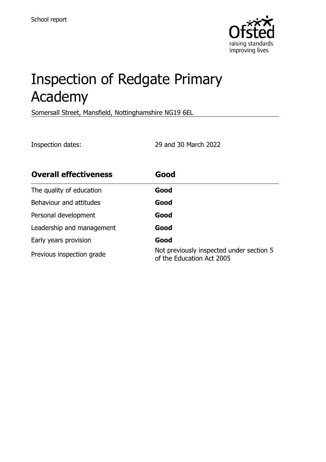

# Inspection of Redgate Primary Academy

Somersall Street, Mansfield, Nottinghamshire NG19 6EL

Inspection dates: 29 and 30 March 2022

| <b>Overall effectiveness</b> | Good                                                                  |
|------------------------------|-----------------------------------------------------------------------|
| The quality of education     | Good                                                                  |
| Behaviour and attitudes      | Good                                                                  |
| Personal development         | Good                                                                  |
| Leadership and management    | Good                                                                  |
| Early years provision        | Good                                                                  |
| Previous inspection grade    | Not previously inspected under section 5<br>of the Education Act 2005 |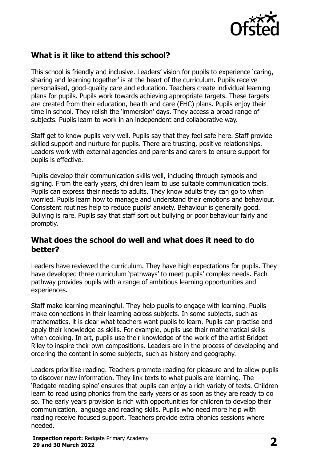

# **What is it like to attend this school?**

This school is friendly and inclusive. Leaders' vision for pupils to experience 'caring, sharing and learning together' is at the heart of the curriculum. Pupils receive personalised, good-quality care and education. Teachers create individual learning plans for pupils. Pupils work towards achieving appropriate targets. These targets are created from their education, health and care (EHC) plans. Pupils enjoy their time in school. They relish the 'immersion' days. They access a broad range of subjects. Pupils learn to work in an independent and collaborative way.

Staff get to know pupils very well. Pupils say that they feel safe here. Staff provide skilled support and nurture for pupils. There are trusting, positive relationships. Leaders work with external agencies and parents and carers to ensure support for pupils is effective.

Pupils develop their communication skills well, including through symbols and signing. From the early years, children learn to use suitable communication tools. Pupils can express their needs to adults. They know adults they can go to when worried. Pupils learn how to manage and understand their emotions and behaviour. Consistent routines help to reduce pupils' anxiety. Behaviour is generally good. Bullying is rare. Pupils say that staff sort out bullying or poor behaviour fairly and promptly.

#### **What does the school do well and what does it need to do better?**

Leaders have reviewed the curriculum. They have high expectations for pupils. They have developed three curriculum 'pathways' to meet pupils' complex needs. Each pathway provides pupils with a range of ambitious learning opportunities and experiences.

Staff make learning meaningful. They help pupils to engage with learning. Pupils make connections in their learning across subjects. In some subjects, such as mathematics, it is clear what teachers want pupils to learn. Pupils can practise and apply their knowledge as skills. For example, pupils use their mathematical skills when cooking. In art, pupils use their knowledge of the work of the artist Bridget Riley to inspire their own compositions. Leaders are in the process of developing and ordering the content in some subjects, such as history and geography.

Leaders prioritise reading. Teachers promote reading for pleasure and to allow pupils to discover new information. They link texts to what pupils are learning. The 'Redgate reading spine' ensures that pupils can enjoy a rich variety of texts. Children learn to read using phonics from the early years or as soon as they are ready to do so. The early years provision is rich with opportunities for children to develop their communication, language and reading skills. Pupils who need more help with reading receive focused support. Teachers provide extra phonics sessions where needed.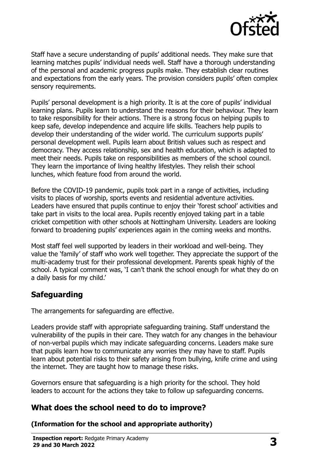

Staff have a secure understanding of pupils' additional needs. They make sure that learning matches pupils' individual needs well. Staff have a thorough understanding of the personal and academic progress pupils make. They establish clear routines and expectations from the early years. The provision considers pupils' often complex sensory requirements.

Pupils' personal development is a high priority. It is at the core of pupils' individual learning plans. Pupils learn to understand the reasons for their behaviour. They learn to take responsibility for their actions. There is a strong focus on helping pupils to keep safe, develop independence and acquire life skills. Teachers help pupils to develop their understanding of the wider world. The curriculum supports pupils' personal development well. Pupils learn about British values such as respect and democracy. They access relationship, sex and health education, which is adapted to meet their needs. Pupils take on responsibilities as members of the school council. They learn the importance of living healthy lifestyles. They relish their school lunches, which feature food from around the world.

Before the COVID-19 pandemic, pupils took part in a range of activities, including visits to places of worship, sports events and residential adventure activities. Leaders have ensured that pupils continue to enjoy their 'forest school' activities and take part in visits to the local area. Pupils recently enjoyed taking part in a table cricket competition with other schools at Nottingham University. Leaders are looking forward to broadening pupils' experiences again in the coming weeks and months.

Most staff feel well supported by leaders in their workload and well-being. They value the 'family' of staff who work well together. They appreciate the support of the multi-academy trust for their professional development. Parents speak highly of the school. A typical comment was, 'I can't thank the school enough for what they do on a daily basis for my child.'

### **Safeguarding**

The arrangements for safeguarding are effective.

Leaders provide staff with appropriate safeguarding training. Staff understand the vulnerability of the pupils in their care. They watch for any changes in the behaviour of non-verbal pupils which may indicate safeguarding concerns. Leaders make sure that pupils learn how to communicate any worries they may have to staff. Pupils learn about potential risks to their safety arising from bullying, knife crime and using the internet. They are taught how to manage these risks.

Governors ensure that safeguarding is a high priority for the school. They hold leaders to account for the actions they take to follow up safeguarding concerns.

### **What does the school need to do to improve?**

**(Information for the school and appropriate authority)**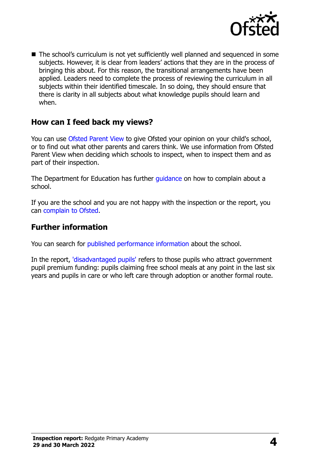

■ The school's curriculum is not yet sufficiently well planned and sequenced in some subjects. However, it is clear from leaders' actions that they are in the process of bringing this about. For this reason, the transitional arrangements have been applied. Leaders need to complete the process of reviewing the curriculum in all subjects within their identified timescale. In so doing, they should ensure that there is clarity in all subjects about what knowledge pupils should learn and when.

### **How can I feed back my views?**

You can use [Ofsted Parent View](http://parentview.ofsted.gov.uk/) to give Ofsted your opinion on your child's school, or to find out what other parents and carers think. We use information from Ofsted Parent View when deciding which schools to inspect, when to inspect them and as part of their inspection.

The Department for Education has further quidance on how to complain about a school.

If you are the school and you are not happy with the inspection or the report, you can [complain to Ofsted.](http://www.gov.uk/complain-ofsted-report)

#### **Further information**

You can search for [published performance information](http://www.compare-school-performance.service.gov.uk/) about the school.

In the report, ['disadvantaged pupils'](http://www.gov.uk/guidance/pupil-premium-information-for-schools-and-alternative-provision-settings) refers to those pupils who attract government pupil premium funding: pupils claiming free school meals at any point in the last six years and pupils in care or who left care through adoption or another formal route.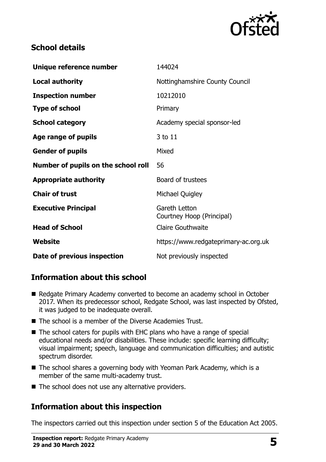

# **School details**

| Unique reference number             | 144024                                     |
|-------------------------------------|--------------------------------------------|
| <b>Local authority</b>              | Nottinghamshire County Council             |
| <b>Inspection number</b>            | 10212010                                   |
| <b>Type of school</b>               | Primary                                    |
| <b>School category</b>              | Academy special sponsor-led                |
| Age range of pupils                 | 3 to 11                                    |
| <b>Gender of pupils</b>             | Mixed                                      |
| Number of pupils on the school roll | 56                                         |
| <b>Appropriate authority</b>        | Board of trustees                          |
| <b>Chair of trust</b>               | Michael Quigley                            |
| <b>Executive Principal</b>          | Gareth Letton<br>Courtney Hoop (Principal) |
| <b>Head of School</b>               | <b>Claire Gouthwaite</b>                   |
| Website                             | https://www.redgateprimary-ac.org.uk       |
| Date of previous inspection         | Not previously inspected                   |

# **Information about this school**

- Redgate Primary Academy converted to become an academy school in October 2017. When its predecessor school, Redgate School, was last inspected by Ofsted, it was judged to be inadequate overall.
- The school is a member of the Diverse Academies Trust.
- The school caters for pupils with EHC plans who have a range of special educational needs and/or disabilities. These include: specific learning difficulty; visual impairment; speech, language and communication difficulties; and autistic spectrum disorder.
- The school shares a governing body with Yeoman Park Academy, which is a member of the same multi-academy trust.
- The school does not use any alternative providers.

# **Information about this inspection**

The inspectors carried out this inspection under section 5 of the Education Act 2005.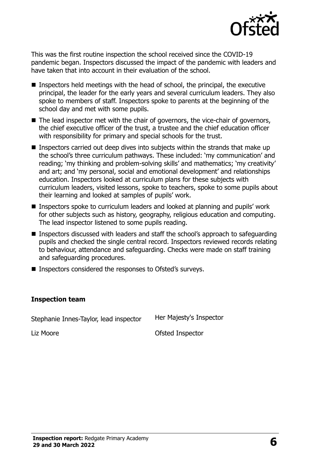

This was the first routine inspection the school received since the COVID-19 pandemic began. Inspectors discussed the impact of the pandemic with leaders and have taken that into account in their evaluation of the school.

- $\blacksquare$  Inspectors held meetings with the head of school, the principal, the executive principal, the leader for the early years and several curriculum leaders. They also spoke to members of staff. Inspectors spoke to parents at the beginning of the school day and met with some pupils.
- The lead inspector met with the chair of governors, the vice-chair of governors, the chief executive officer of the trust, a trustee and the chief education officer with responsibility for primary and special schools for the trust.
- Inspectors carried out deep dives into subjects within the strands that make up the school's three curriculum pathways. These included: 'my communication' and reading; 'my thinking and problem-solving skills' and mathematics; 'my creativity' and art; and 'my personal, social and emotional development' and relationships education. Inspectors looked at curriculum plans for these subjects with curriculum leaders, visited lessons, spoke to teachers, spoke to some pupils about their learning and looked at samples of pupils' work.
- Inspectors spoke to curriculum leaders and looked at planning and pupils' work for other subjects such as history, geography, religious education and computing. The lead inspector listened to some pupils reading.
- Inspectors discussed with leaders and staff the school's approach to safeguarding pupils and checked the single central record. Inspectors reviewed records relating to behaviour, attendance and safeguarding. Checks were made on staff training and safeguarding procedures.
- Inspectors considered the responses to Ofsted's surveys.

#### **Inspection team**

Stephanie Innes-Taylor, lead inspector Her Majesty's Inspector Liz Moore **Calculation** Controller Controller Controller Controller Controller Controller Controller Controller